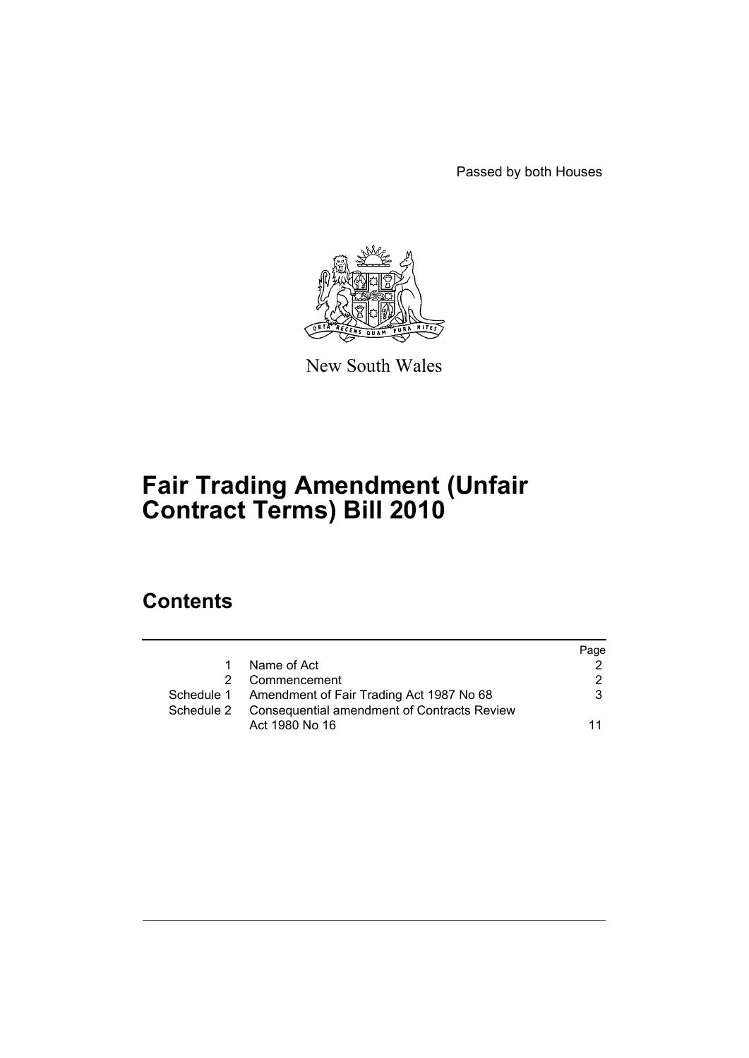Passed by both Houses



New South Wales

# **Fair Trading Amendment (Unfair Contract Terms) Bill 2010**

# **Contents**

|           |                                                        | Page |
|-----------|--------------------------------------------------------|------|
| $1 \quad$ | Name of Act                                            |      |
| 2         | Commencement                                           | 2    |
|           | Schedule 1 Amendment of Fair Trading Act 1987 No 68    | 3    |
|           | Schedule 2 Consequential amendment of Contracts Review |      |
|           | Act 1980 No 16                                         | 11   |
|           |                                                        |      |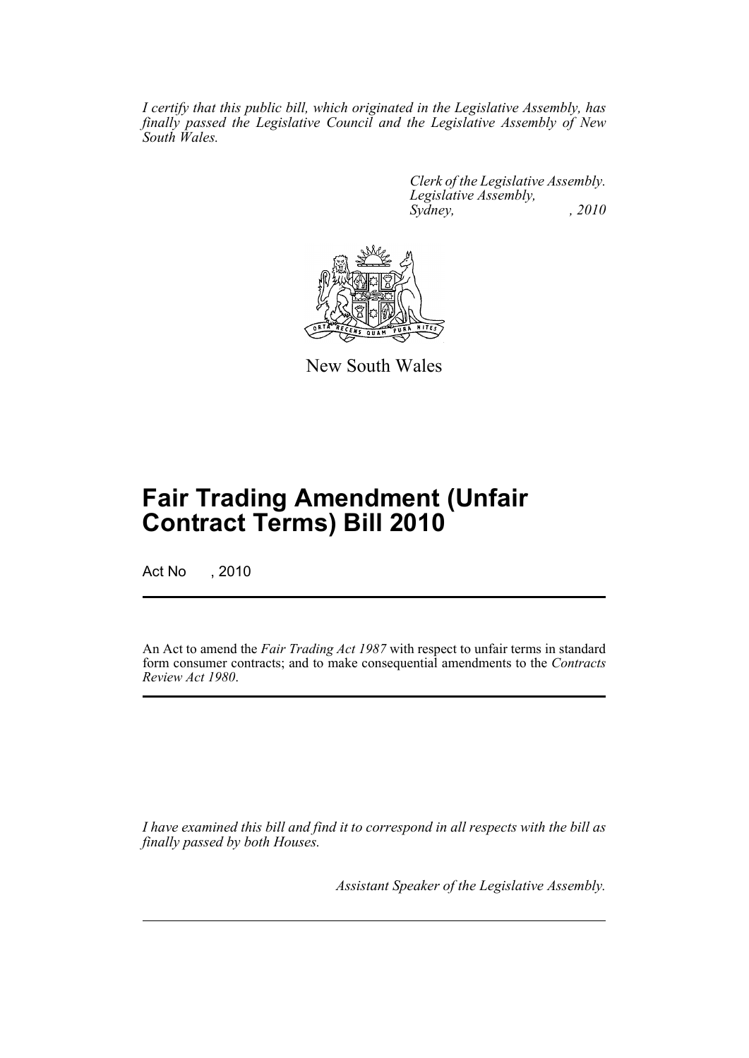*I certify that this public bill, which originated in the Legislative Assembly, has finally passed the Legislative Council and the Legislative Assembly of New South Wales.*

> *Clerk of the Legislative Assembly. Legislative Assembly, Sydney, , 2010*



New South Wales

# **Fair Trading Amendment (Unfair Contract Terms) Bill 2010**

Act No , 2010

An Act to amend the *Fair Trading Act 1987* with respect to unfair terms in standard form consumer contracts; and to make consequential amendments to the *Contracts Review Act 1980*.

*I have examined this bill and find it to correspond in all respects with the bill as finally passed by both Houses.*

*Assistant Speaker of the Legislative Assembly.*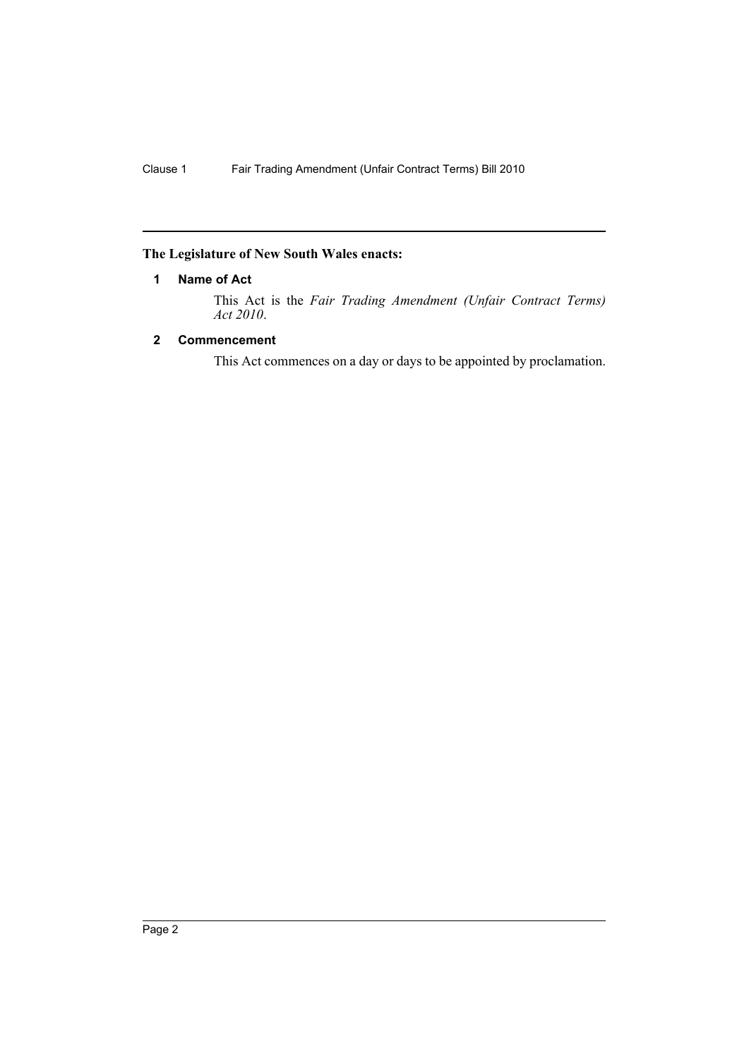## <span id="page-2-0"></span>**The Legislature of New South Wales enacts:**

## **1 Name of Act**

This Act is the *Fair Trading Amendment (Unfair Contract Terms) Act 2010*.

## <span id="page-2-1"></span>**2 Commencement**

This Act commences on a day or days to be appointed by proclamation.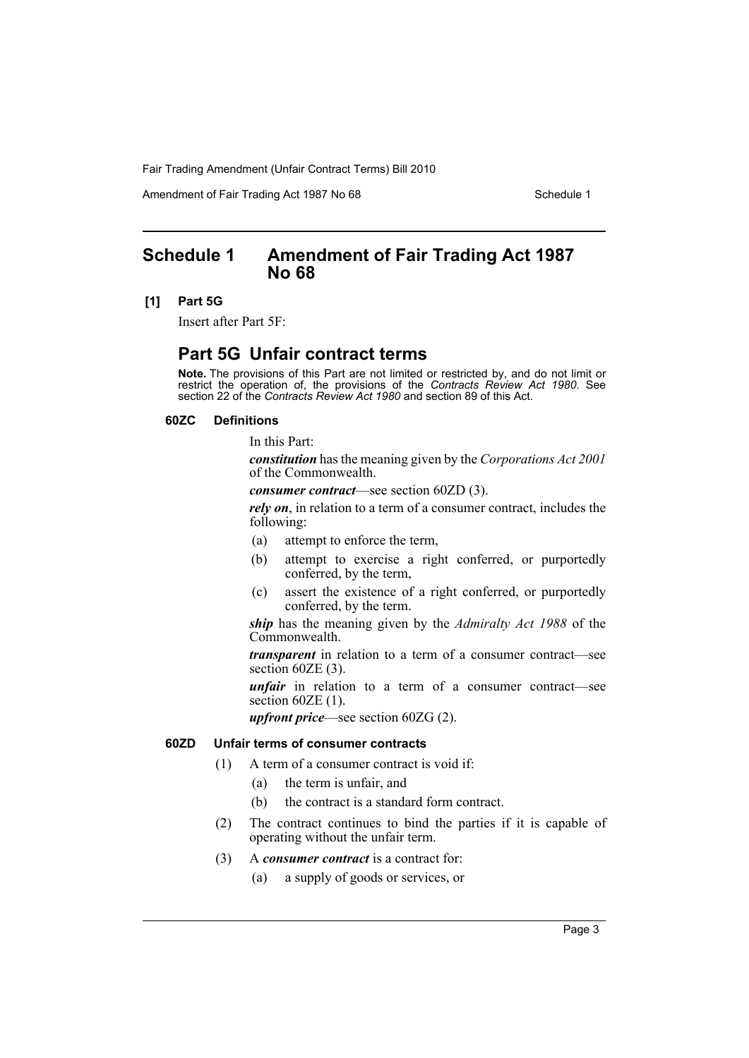Amendment of Fair Trading Act 1987 No 68 Schedule 1

## <span id="page-3-0"></span>**Schedule 1 Amendment of Fair Trading Act 1987 No 68**

#### **[1] Part 5G**

Insert after Part 5F:

## **Part 5G Unfair contract terms**

**Note.** The provisions of this Part are not limited or restricted by, and do not limit or restrict the operation of, the provisions of the *Contracts Review Act 1980*. See section 22 of the *Contracts Review Act 1980* and section 89 of this Act.

#### **60ZC Definitions**

In this Part:

*constitution* has the meaning given by the *Corporations Act 2001* of the Commonwealth.

*consumer contract*—see section 60ZD (3).

*rely on*, in relation to a term of a consumer contract, includes the following:

- (a) attempt to enforce the term,
- (b) attempt to exercise a right conferred, or purportedly conferred, by the term,
- (c) assert the existence of a right conferred, or purportedly conferred, by the term.

*ship* has the meaning given by the *Admiralty Act 1988* of the Commonwealth.

*transparent* in relation to a term of a consumer contract—see section 60ZE (3).

*unfair* in relation to a term of a consumer contract—see section 60ZE (1).

*upfront price*—see section 60ZG (2).

#### **60ZD Unfair terms of consumer contracts**

- (1) A term of a consumer contract is void if:
	- (a) the term is unfair, and
	- (b) the contract is a standard form contract.
- (2) The contract continues to bind the parties if it is capable of operating without the unfair term.
- (3) A *consumer contract* is a contract for:
	- (a) a supply of goods or services, or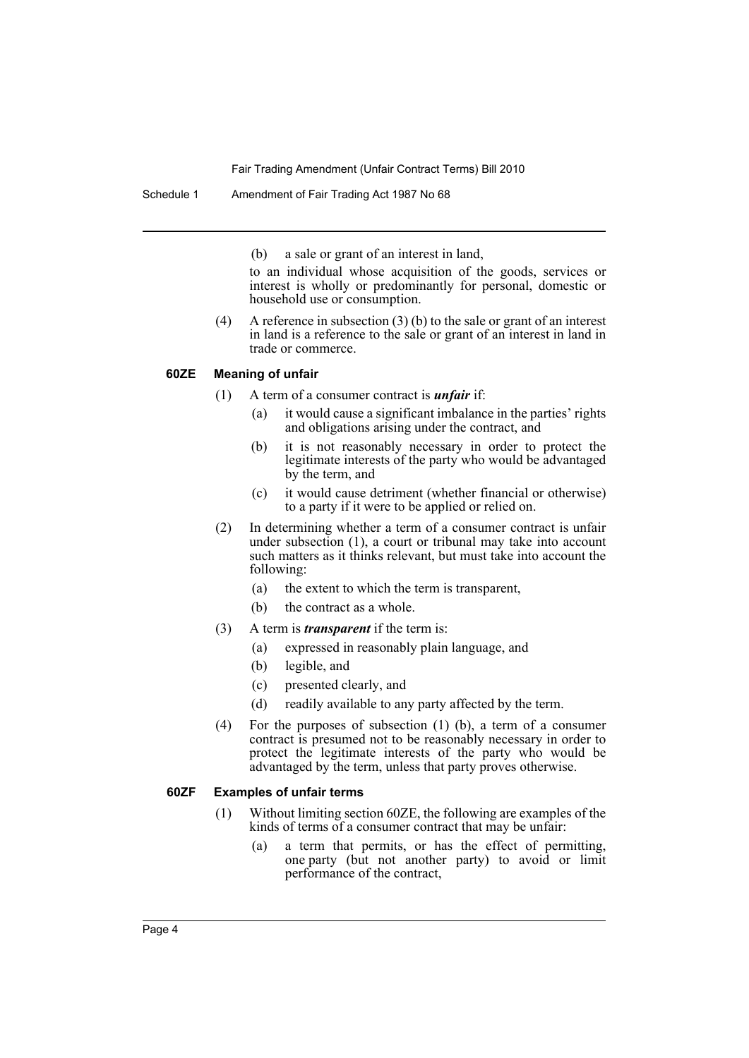(b) a sale or grant of an interest in land,

to an individual whose acquisition of the goods, services or interest is wholly or predominantly for personal, domestic or household use or consumption.

(4) A reference in subsection  $(3)$  (b) to the sale or grant of an interest in land is a reference to the sale or grant of an interest in land in trade or commerce.

#### **60ZE Meaning of unfair**

- (1) A term of a consumer contract is *unfair* if:
	- (a) it would cause a significant imbalance in the parties' rights and obligations arising under the contract, and
	- (b) it is not reasonably necessary in order to protect the legitimate interests of the party who would be advantaged by the term, and
	- (c) it would cause detriment (whether financial or otherwise) to a party if it were to be applied or relied on.
- (2) In determining whether a term of a consumer contract is unfair under subsection (1), a court or tribunal may take into account such matters as it thinks relevant, but must take into account the following:
	- (a) the extent to which the term is transparent,
	- (b) the contract as a whole.
- (3) A term is *transparent* if the term is:
	- (a) expressed in reasonably plain language, and
	- (b) legible, and
	- (c) presented clearly, and
	- (d) readily available to any party affected by the term.
- (4) For the purposes of subsection (1) (b), a term of a consumer contract is presumed not to be reasonably necessary in order to protect the legitimate interests of the party who would be advantaged by the term, unless that party proves otherwise.

## **60ZF Examples of unfair terms**

- (1) Without limiting section 60ZE, the following are examples of the kinds of terms of a consumer contract that may be unfair:
	- (a) a term that permits, or has the effect of permitting, one party (but not another party) to avoid or limit performance of the contract,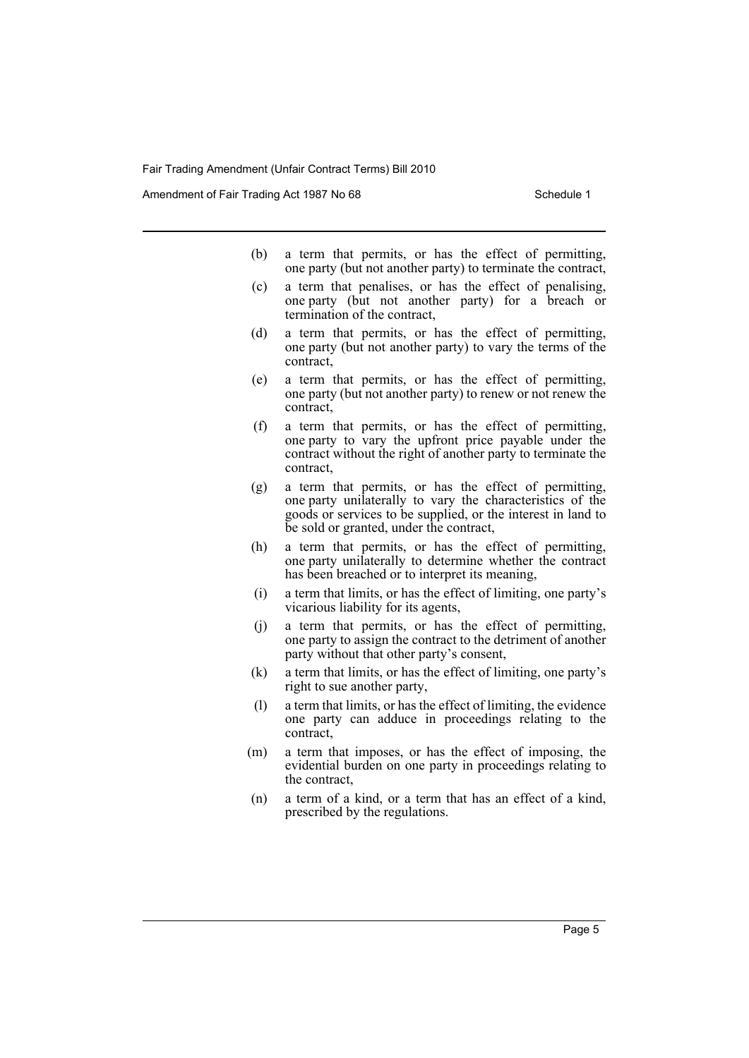Amendment of Fair Trading Act 1987 No 68 Schedule 1

- (b) a term that permits, or has the effect of permitting, one party (but not another party) to terminate the contract,
- (c) a term that penalises, or has the effect of penalising, one party (but not another party) for a breach or termination of the contract,
- (d) a term that permits, or has the effect of permitting, one party (but not another party) to vary the terms of the contract,
- (e) a term that permits, or has the effect of permitting, one party (but not another party) to renew or not renew the contract,
- (f) a term that permits, or has the effect of permitting, one party to vary the upfront price payable under the contract without the right of another party to terminate the contract,
- (g) a term that permits, or has the effect of permitting, one party unilaterally to vary the characteristics of the goods or services to be supplied, or the interest in land to be sold or granted, under the contract,
- (h) a term that permits, or has the effect of permitting, one party unilaterally to determine whether the contract has been breached or to interpret its meaning,
- (i) a term that limits, or has the effect of limiting, one party's vicarious liability for its agents,
- (j) a term that permits, or has the effect of permitting, one party to assign the contract to the detriment of another party without that other party's consent,
- (k) a term that limits, or has the effect of limiting, one party's right to sue another party,
- (l) a term that limits, or has the effect of limiting, the evidence one party can adduce in proceedings relating to the contract,
- (m) a term that imposes, or has the effect of imposing, the evidential burden on one party in proceedings relating to the contract,
- (n) a term of a kind, or a term that has an effect of a kind, prescribed by the regulations.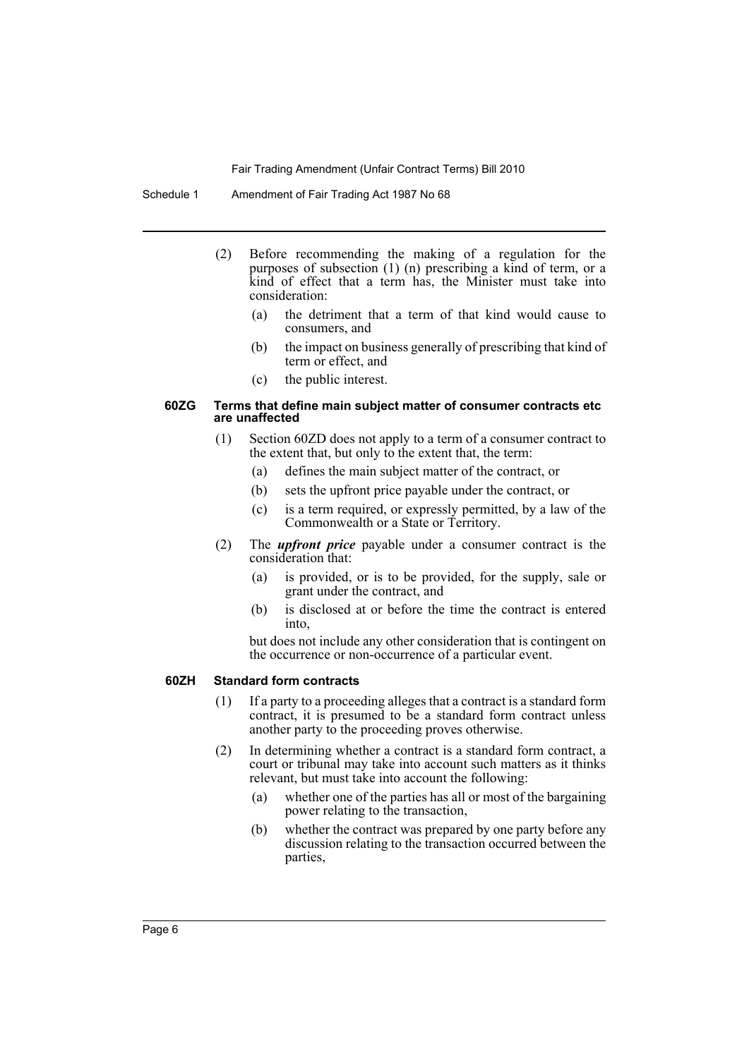Schedule 1 Amendment of Fair Trading Act 1987 No 68

- (2) Before recommending the making of a regulation for the purposes of subsection (1) (n) prescribing a kind of term, or a kind of effect that a term has, the Minister must take into consideration:
	- (a) the detriment that a term of that kind would cause to consumers, and
	- (b) the impact on business generally of prescribing that kind of term or effect, and
	- (c) the public interest.

#### **60ZG Terms that define main subject matter of consumer contracts etc are unaffected**

- (1) Section 60ZD does not apply to a term of a consumer contract to the extent that, but only to the extent that, the term:
	- (a) defines the main subject matter of the contract, or
	- (b) sets the upfront price payable under the contract, or
	- (c) is a term required, or expressly permitted, by a law of the Commonwealth or a State or Territory.
- (2) The *upfront price* payable under a consumer contract is the consideration that:
	- (a) is provided, or is to be provided, for the supply, sale or grant under the contract, and
	- (b) is disclosed at or before the time the contract is entered into,

but does not include any other consideration that is contingent on the occurrence or non-occurrence of a particular event.

#### **60ZH Standard form contracts**

- (1) If a party to a proceeding alleges that a contract is a standard form contract, it is presumed to be a standard form contract unless another party to the proceeding proves otherwise.
- (2) In determining whether a contract is a standard form contract, a court or tribunal may take into account such matters as it thinks relevant, but must take into account the following:
	- (a) whether one of the parties has all or most of the bargaining power relating to the transaction,
	- (b) whether the contract was prepared by one party before any discussion relating to the transaction occurred between the parties,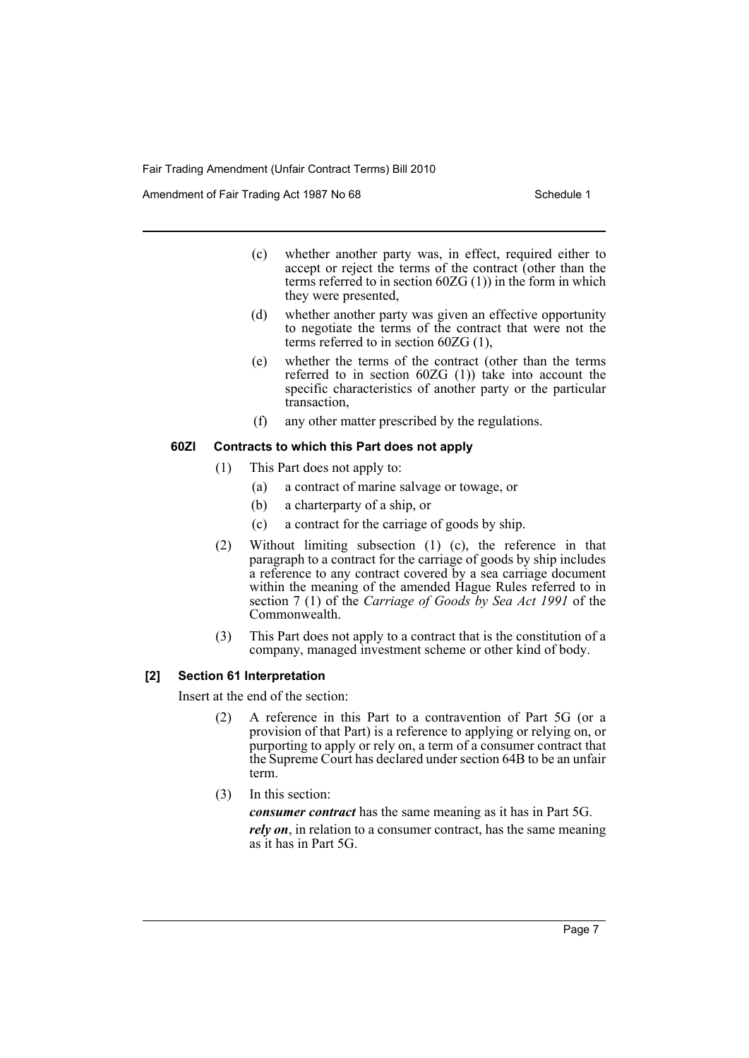Amendment of Fair Trading Act 1987 No 68 Schedule 1

- (c) whether another party was, in effect, required either to accept or reject the terms of the contract (other than the terms referred to in section 60ZG (1)) in the form in which they were presented,
- (d) whether another party was given an effective opportunity to negotiate the terms of the contract that were not the terms referred to in section 60ZG (1),
- (e) whether the terms of the contract (other than the terms referred to in section 60ZG (1)) take into account the specific characteristics of another party or the particular transaction,
- (f) any other matter prescribed by the regulations.

## **60ZI Contracts to which this Part does not apply**

- (1) This Part does not apply to:
	- (a) a contract of marine salvage or towage, or
	- (b) a charterparty of a ship, or
	- (c) a contract for the carriage of goods by ship.
- (2) Without limiting subsection (1) (c), the reference in that paragraph to a contract for the carriage of goods by ship includes a reference to any contract covered by a sea carriage document within the meaning of the amended Hague Rules referred to in section 7 (1) of the *Carriage of Goods by Sea Act 1991* of the Commonwealth.
- (3) This Part does not apply to a contract that is the constitution of a company, managed investment scheme or other kind of body.

#### **[2] Section 61 Interpretation**

Insert at the end of the section:

- (2) A reference in this Part to a contravention of Part 5G (or a provision of that Part) is a reference to applying or relying on, or purporting to apply or rely on, a term of a consumer contract that the Supreme Court has declared under section 64B to be an unfair term.
- (3) In this section:

*consumer contract* has the same meaning as it has in Part 5G. *rely on*, in relation to a consumer contract, has the same meaning as it has in Part 5G.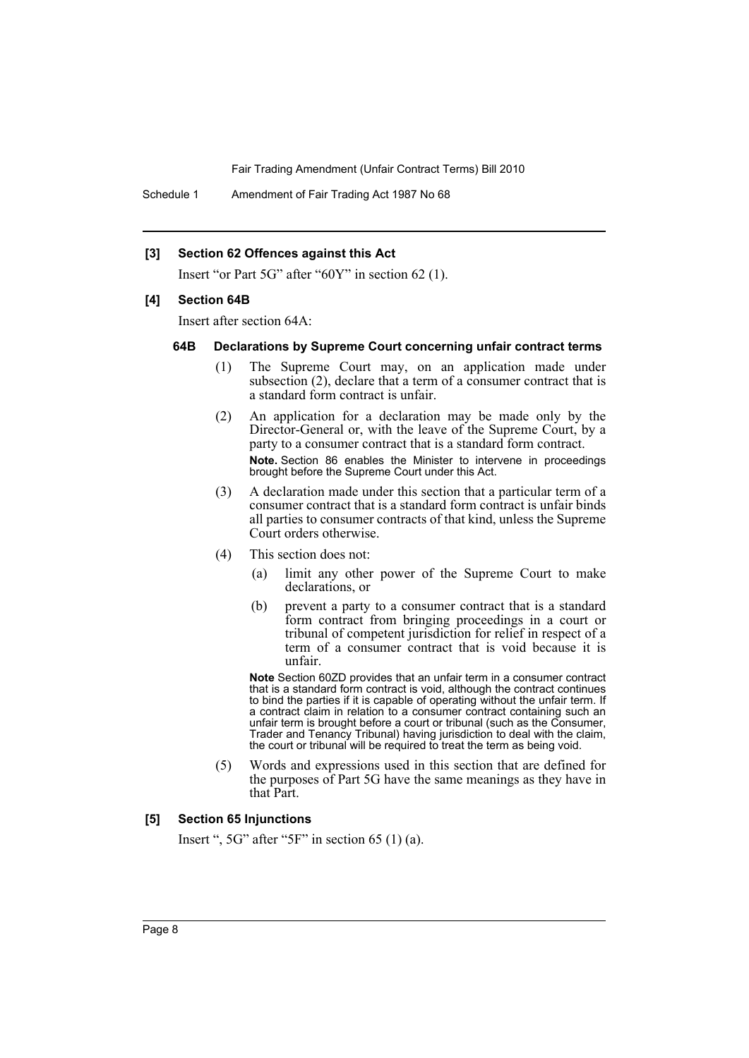Schedule 1 Amendment of Fair Trading Act 1987 No 68

#### **[3] Section 62 Offences against this Act**

Insert "or Part 5G" after "60Y" in section 62 (1).

#### **[4] Section 64B**

Insert after section 64A:

#### **64B Declarations by Supreme Court concerning unfair contract terms**

- (1) The Supreme Court may, on an application made under subsection (2), declare that a term of a consumer contract that is a standard form contract is unfair.
- (2) An application for a declaration may be made only by the Director-General or, with the leave of the Supreme Court, by a party to a consumer contract that is a standard form contract. **Note.** Section 86 enables the Minister to intervene in proceedings brought before the Supreme Court under this Act.
- (3) A declaration made under this section that a particular term of a consumer contract that is a standard form contract is unfair binds all parties to consumer contracts of that kind, unless the Supreme Court orders otherwise.
- (4) This section does not:
	- (a) limit any other power of the Supreme Court to make declarations, or
	- (b) prevent a party to a consumer contract that is a standard form contract from bringing proceedings in a court or tribunal of competent jurisdiction for relief in respect of a term of a consumer contract that is void because it is unfair.

**Note** Section 60ZD provides that an unfair term in a consumer contract that is a standard form contract is void, although the contract continues to bind the parties if it is capable of operating without the unfair term. If a contract claim in relation to a consumer contract containing such an unfair term is brought before a court or tribunal (such as the Consumer, Trader and Tenancy Tribunal) having jurisdiction to deal with the claim, the court or tribunal will be required to treat the term as being void.

(5) Words and expressions used in this section that are defined for the purposes of Part 5G have the same meanings as they have in that Part.

## **[5] Section 65 Injunctions**

Insert ",  $5G$ " after " $5F$ " in section 65 (1) (a).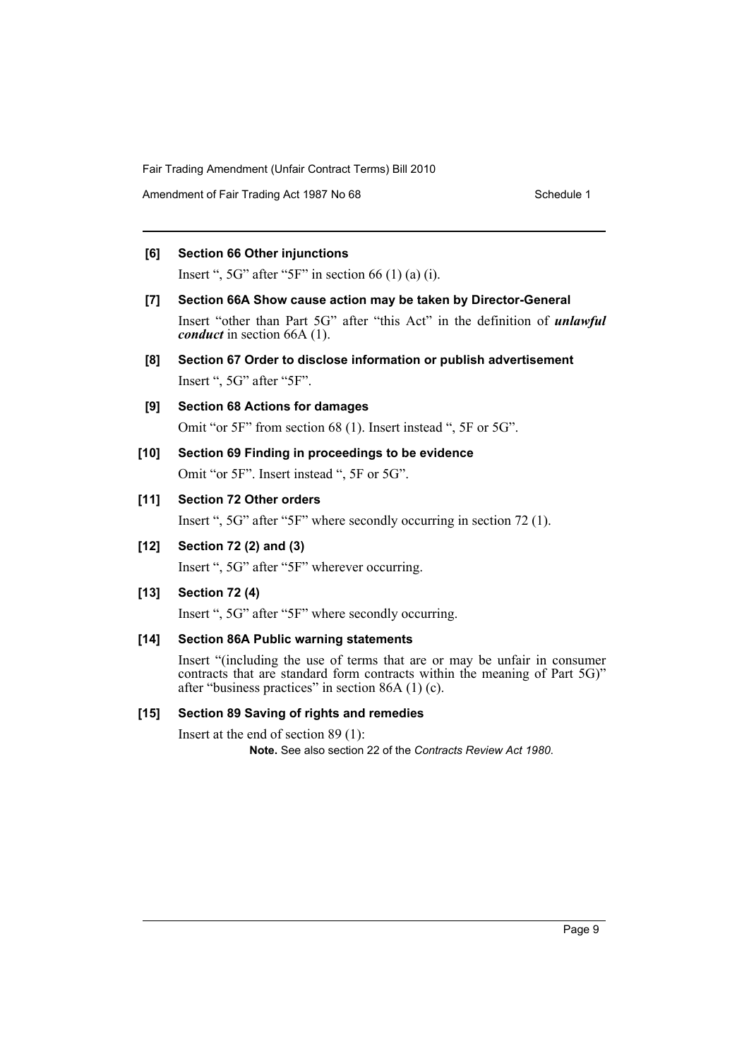Amendment of Fair Trading Act 1987 No 68 Schedule 1

## **[6] Section 66 Other injunctions**

Insert ",  $5G$ " after " $5F$ " in section 66 (1) (a) (i).

- **[7] Section 66A Show cause action may be taken by Director-General** Insert "other than Part 5G" after "this Act" in the definition of *unlawful conduct* in section 66A (1).
- **[8] Section 67 Order to disclose information or publish advertisement** Insert ", 5G" after "5F".

#### **[9] Section 68 Actions for damages**

Omit "or 5F" from section 68 (1). Insert instead ", 5F or 5G".

**[10] Section 69 Finding in proceedings to be evidence** Omit "or 5F". Insert instead ", 5F or 5G".

#### **[11] Section 72 Other orders**

Insert ", 5G" after "5F" where secondly occurring in section 72 (1).

#### **[12] Section 72 (2) and (3)**

Insert ", 5G" after "5F" wherever occurring.

## **[13] Section 72 (4)**

Insert ", 5G" after "5F" where secondly occurring.

## **[14] Section 86A Public warning statements**

Insert "(including the use of terms that are or may be unfair in consumer contracts that are standard form contracts within the meaning of Part 5G)" after "business practices" in section 86A (1) (c).

## **[15] Section 89 Saving of rights and remedies**

Insert at the end of section 89 (1): **Note.** See also section 22 of the *Contracts Review Act 1980*.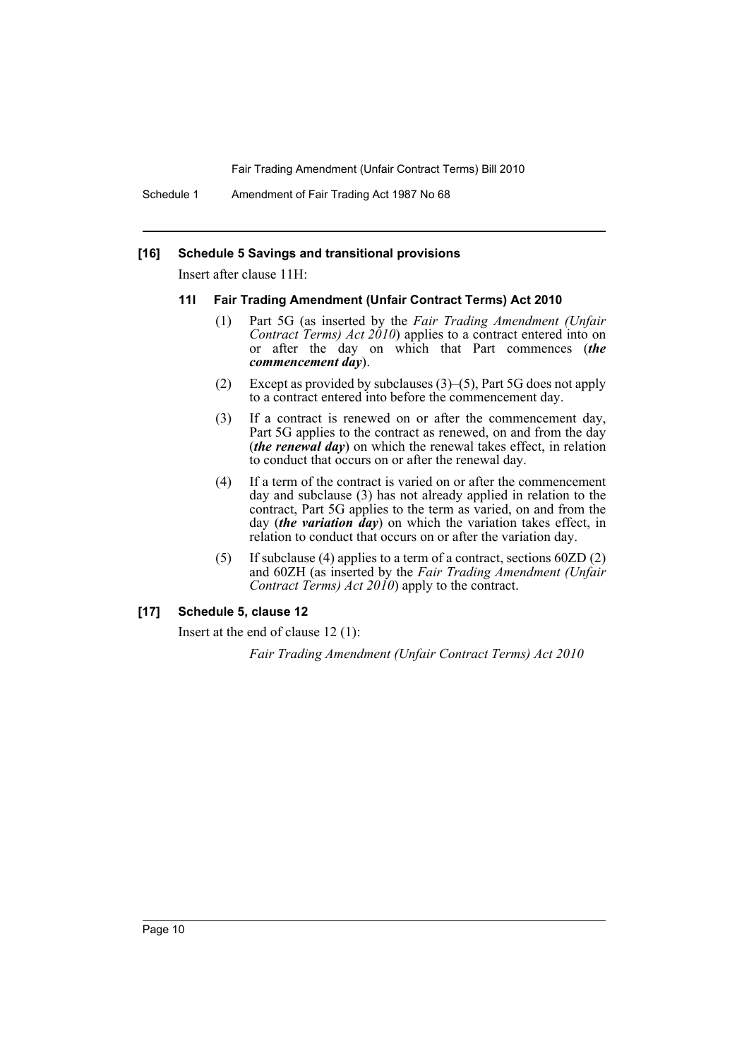Schedule 1 Amendment of Fair Trading Act 1987 No 68

#### **[16] Schedule 5 Savings and transitional provisions**

Insert after clause 11H:

#### **11I Fair Trading Amendment (Unfair Contract Terms) Act 2010**

- (1) Part 5G (as inserted by the *Fair Trading Amendment (Unfair Contract Terms) Act 2010*) applies to a contract entered into on or after the day on which that Part commences (*the commencement day*).
- (2) Except as provided by subclauses (3)–(5), Part 5G does not apply to a contract entered into before the commencement day.
- (3) If a contract is renewed on or after the commencement day, Part 5G applies to the contract as renewed, on and from the day (*the renewal day*) on which the renewal takes effect, in relation to conduct that occurs on or after the renewal day.
- (4) If a term of the contract is varied on or after the commencement day and subclause (3) has not already applied in relation to the contract, Part 5G applies to the term as varied, on and from the day (*the variation day*) on which the variation takes effect, in relation to conduct that occurs on or after the variation day.
- (5) If subclause (4) applies to a term of a contract, sections 60ZD (2) and 60ZH (as inserted by the *Fair Trading Amendment (Unfair Contract Terms) Act 2010*) apply to the contract.

## **[17] Schedule 5, clause 12**

Insert at the end of clause 12 (1):

*Fair Trading Amendment (Unfair Contract Terms) Act 2010*